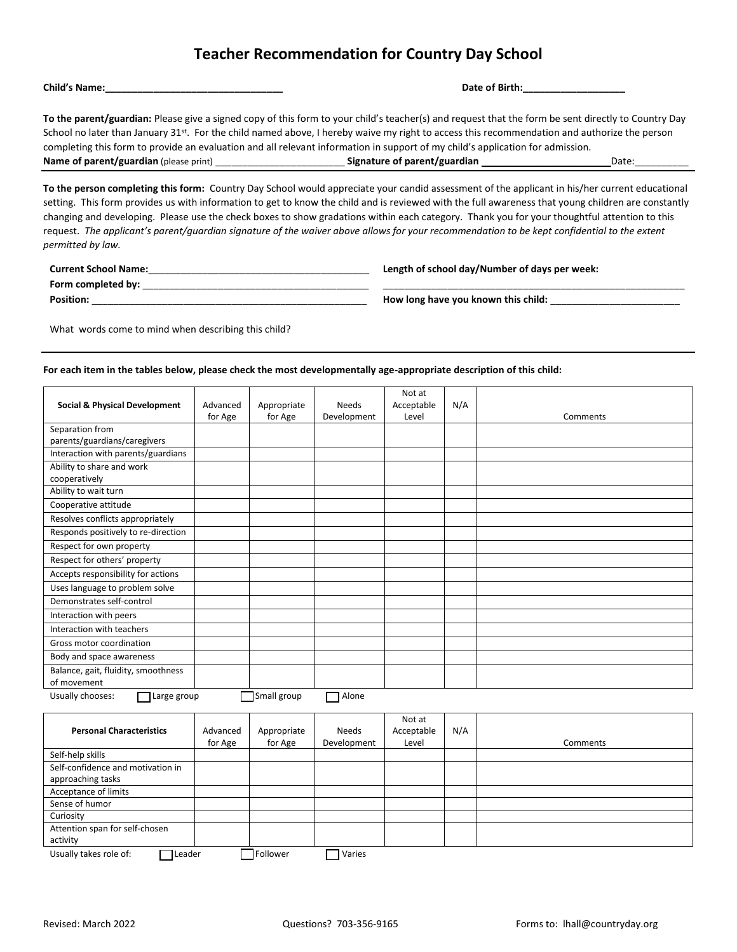## **Teacher Recommendation for Country Day School**

| <b>Child's Name:</b>                                                                                                                                      |                              |       |
|-----------------------------------------------------------------------------------------------------------------------------------------------------------|------------------------------|-------|
| To the parent/guardian: Please give a signed copy of this form to your child's teacher(s) and request that the form be sent directly to Country Day       |                              |       |
| School no later than January 31 <sup>st</sup> . For the child named above, I hereby waive my right to access this recommendation and authorize the person |                              |       |
| completing this form to provide an evaluation and all relevant information in support of my child's application for admission.                            |                              |       |
| <b>Name of parent/guardian</b> (please print)                                                                                                             | Signature of parent/guardian | Date: |

**To the person completing this form:** Country Day School would appreciate your candid assessment of the applicant in his/her current educational setting. This form provides us with information to get to know the child and is reviewed with the full awareness that young children are constantly changing and developing. Please use the check boxes to show gradations within each category. Thank you for your thoughtful attention to this request. *The applicant's parent/guardian signature of the waiver above allows for your recommendation to be kept confidential to the extent permitted by law.*

| <b>Current School Name:</b> | Length of school day/Number of days per week: |
|-----------------------------|-----------------------------------------------|
| Form completed by:          |                                               |
| <b>Position:</b>            | How long have you known this child:           |

What words come to mind when describing this child?

**For each item in the tables below, please check the most developmentally age-appropriate description of this child:**

| <b>Social &amp; Physical Development</b>           | Advanced<br>for Age | Appropriate<br>for Age | <b>Needs</b><br>Development | Not at<br>Acceptable<br>Level | N/A | Comments |
|----------------------------------------------------|---------------------|------------------------|-----------------------------|-------------------------------|-----|----------|
| Separation from                                    |                     |                        |                             |                               |     |          |
| parents/guardians/caregivers                       |                     |                        |                             |                               |     |          |
| Interaction with parents/guardians                 |                     |                        |                             |                               |     |          |
| Ability to share and work                          |                     |                        |                             |                               |     |          |
| cooperatively                                      |                     |                        |                             |                               |     |          |
| Ability to wait turn                               |                     |                        |                             |                               |     |          |
| Cooperative attitude                               |                     |                        |                             |                               |     |          |
| Resolves conflicts appropriately                   |                     |                        |                             |                               |     |          |
| Responds positively to re-direction                |                     |                        |                             |                               |     |          |
| Respect for own property                           |                     |                        |                             |                               |     |          |
| Respect for others' property                       |                     |                        |                             |                               |     |          |
| Accepts responsibility for actions                 |                     |                        |                             |                               |     |          |
| Uses language to problem solve                     |                     |                        |                             |                               |     |          |
| Demonstrates self-control                          |                     |                        |                             |                               |     |          |
| Interaction with peers                             |                     |                        |                             |                               |     |          |
| Interaction with teachers                          |                     |                        |                             |                               |     |          |
| Gross motor coordination                           |                     |                        |                             |                               |     |          |
| Body and space awareness                           |                     |                        |                             |                               |     |          |
| Balance, gait, fluidity, smoothness<br>of movement |                     |                        |                             |                               |     |          |
| Usually chooses:<br>Large group                    |                     | Small group            | Alone                       |                               |     |          |
| <b>Personal Characteristics</b>                    | Advanced<br>for Age | Appropriate<br>for Age | <b>Needs</b><br>Development | Not at<br>Acceptable<br>Level | N/A | Comments |
| Self-help skills                                   |                     |                        |                             |                               |     |          |
| Self-confidence and motivation in                  |                     |                        |                             |                               |     |          |
| approaching tasks                                  |                     |                        |                             |                               |     |          |
| Acceptance of limits                               |                     |                        |                             |                               |     |          |
| Sense of humor                                     |                     |                        |                             |                               |     |          |
| Curiosity                                          |                     |                        |                             |                               |     |          |
| Attention span for self-chosen                     |                     |                        |                             |                               |     |          |
| activity                                           |                     |                        |                             |                               |     |          |
| Leader<br>Usually takes role of:                   |                     | <b>T</b> Follower      | Varies                      |                               |     |          |